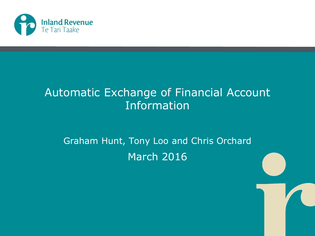

#### Automatic Exchange of Financial Account Information

#### Graham Hunt, Tony Loo and Chris Orchard March 2016

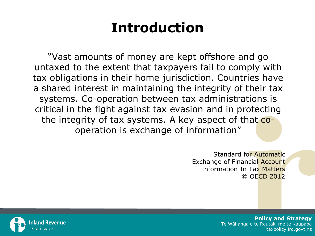#### **Introduction**

"Vast amounts of money are kept offshore and go untaxed to the extent that taxpayers fail to comply with tax obligations in their home jurisdiction. Countries have a shared interest in maintaining the integrity of their tax systems. Co-operation between tax administrations is critical in the fight against tax evasion and in protecting the integrity of tax systems. A key aspect of that cooperation is exchange of information"

> Standard for Automatic Exchange of Financial **Account** Information In Tax Matters © OECD 2012

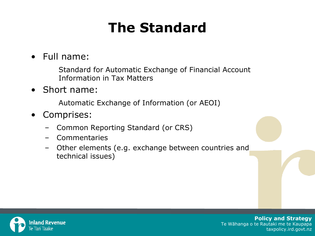#### **The Standard**

#### • Full name:

Standard for Automatic Exchange of Financial Account Information in Tax Matters

• Short name:

Automatic Exchange of Information (or AEOI)

- Comprises:
	- Common Reporting Standard (or CRS)
	- Commentaries
	- Other elements (e.g. exchange between countries and technical issues)

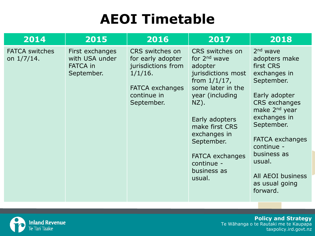#### **AEOI Timetable**

| 2014                                   | 2015                                                               | 2016                                                                                                                            | 2017                                                                                                                                                                                                                                                                        | 2018                                                                                                                                                                                                                                                                                                  |
|----------------------------------------|--------------------------------------------------------------------|---------------------------------------------------------------------------------------------------------------------------------|-----------------------------------------------------------------------------------------------------------------------------------------------------------------------------------------------------------------------------------------------------------------------------|-------------------------------------------------------------------------------------------------------------------------------------------------------------------------------------------------------------------------------------------------------------------------------------------------------|
| <b>FATCA switches</b><br>on $1/7/14$ . | First exchanges<br>with USA under<br><b>FATCA in</b><br>September. | CRS switches on<br>for early adopter<br>jurisdictions from<br>$1/1/16$ .<br><b>FATCA exchanges</b><br>continue in<br>September. | CRS switches on<br>for $2nd$ wave<br>adopter<br>jurisdictions most<br>from $1/1/17$ ,<br>some later in the<br>year (including<br>$NZ$ ).<br>Early adopters<br>make first CRS<br>exchanges in<br>September.<br><b>FATCA exchanges</b><br>continue -<br>business as<br>usual. | $2nd$ wave<br>adopters make<br>first CRS<br>exchanges in<br>September.<br>Early adopter<br><b>CRS</b> exchanges<br>make 2 <sup>nd</sup> year<br>exchanges in<br>September.<br><b>FATCA exchanges</b><br>continue -<br>business as<br>usual.<br><b>All AEOI business</b><br>as usual going<br>forward. |

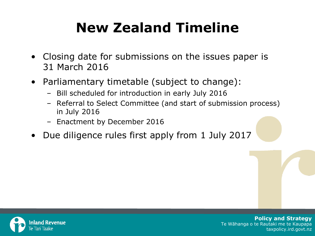#### **New Zealand Timeline**

- Closing date for submissions on the issues paper is 31 March 2016
- Parliamentary timetable (subject to change):
	- Bill scheduled for introduction in early July 2016
	- Referral to Select Committee (and start of submission process) in July 2016
	- Enactment by December 2016
- Due diligence rules first apply from 1 July 2017

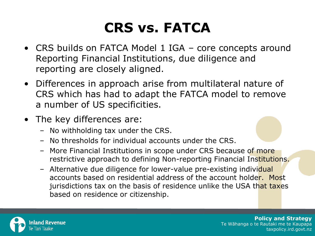#### **CRS vs. FATCA**

- CRS builds on FATCA Model 1 IGA core concepts around Reporting Financial Institutions, due diligence and reporting are closely aligned.
- Differences in approach arise from multilateral nature of CRS which has had to adapt the FATCA model to remove a number of US specificities.
- The key differences are:
	- No withholding tax under the CRS.
	- No thresholds for individual accounts under the CRS.
	- More Financial Institutions in scope under CRS because of more restrictive approach to defining Non-reporting Financial Institutions.
	- Alternative due diligence for lower-value pre-existing individual accounts based on residential address of the account holder. Most jurisdictions tax on the basis of residence unlike the USA that taxes based on residence or citizenship.

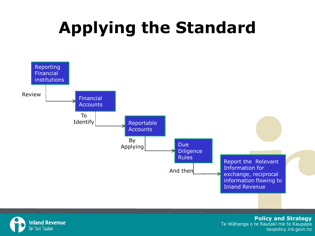# **Applying the Standard**



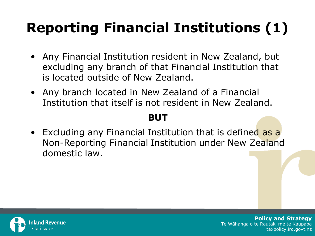# **Reporting Financial Institutions (1)**

- Any Financial Institution resident in New Zealand, but excluding any branch of that Financial Institution that is located outside of New Zealand.
- Any branch located in New Zealand of a Financial Institution that itself is not resident in New Zealand.

#### **BUT**

• Excluding any Financial Institution that is defined as a Non-Reporting Financial Institution under New Zealand domestic law.

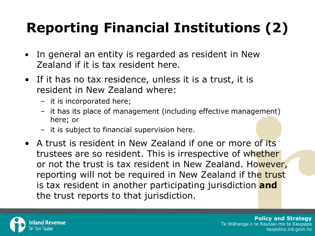# **Reporting Financial Institutions (2)**

- In general an entity is regarded as resident in New Zealand if it is tax resident here.
- If it has no tax residence, unless it is a trust, it is resident in New Zealand where:
	- it is incorporated here;
	- it has its place of management (including effective management) here; or
	- it is subject to financial supervision here.
- A trust is resident in New Zealand if one or more of its trustees are so resident. This is irrespective of whether or not the trust is tax resident in New Zealand. However, reporting will not be required in New Zealand if the trust is tax resident in another participating jurisdiction **and**  the trust reports to that jurisdiction.

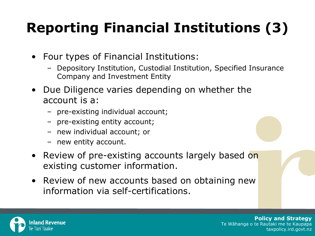# **Reporting Financial Institutions (3)**

- Four types of Financial Institutions:
	- Depository Institution, Custodial Institution, Specified Insurance Company and Investment Entity
- Due Diligence varies depending on whether the account is a:
	- pre-existing individual account;
	- pre-existing entity account;
	- new individual account; or
	- new entity account.
- Review of pre-existing accounts largely based on existing customer information.
- Review of new accounts based on obtaining new information via self-certifications.

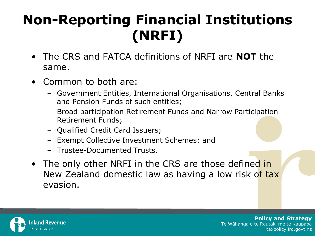#### **Non-Reporting Financial Institutions (NRFI)**

- The CRS and FATCA definitions of NRFI are **NOT** the same.
- Common to both are:
	- Government Entities, International Organisations, Central Banks and Pension Funds of such entities;
	- Broad participation Retirement Funds and Narrow Participation Retirement Funds;
	- Qualified Credit Card Issuers;
	- Exempt Collective Investment Schemes; and
	- Trustee-Documented Trusts.
- The only other NRFI in the CRS are those defined in New Zealand domestic law as having a low risk of tax evasion.

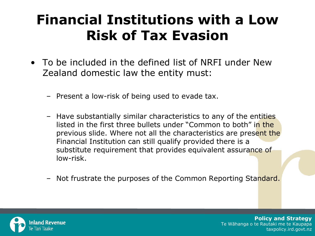#### **Financial Institutions with a Low Risk of Tax Evasion**

- To be included in the defined list of NRFI under New Zealand domestic law the entity must:
	- Present a low-risk of being used to evade tax.
	- Have substantially similar characteristics to any of the entities listed in the first three bullets under "Common to both" in the previous slide. Where not all the characteristics are present the Financial Institution can still qualify provided there is a substitute requirement that provides equivalent assurance of low-risk.
	- Not frustrate the purposes of the Common Reporting Standard.

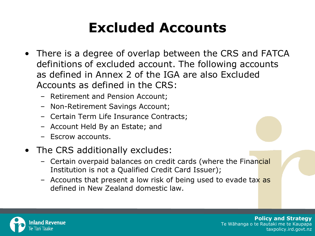#### **Excluded Accounts**

- There is a degree of overlap between the CRS and FATCA definitions of excluded account. The following accounts as defined in Annex 2 of the IGA are also Excluded Accounts as defined in the CRS:
	- Retirement and Pension Account;
	- Non-Retirement Savings Account;
	- Certain Term Life Insurance Contracts;
	- Account Held By an Estate; and
	- Escrow accounts.
- The CRS additionally excludes:
	- Certain overpaid balances on credit cards (where the Financial Institution is not a Qualified Credit Card Issuer);
	- Accounts that present a low risk of being used to evade tax as defined in New Zealand domestic law.

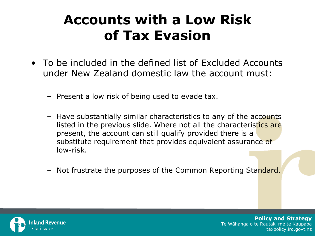#### **Accounts with a Low Risk of Tax Evasion**

- To be included in the defined list of Excluded Accounts under New Zealand domestic law the account must:
	- Present a low risk of being used to evade tax.
	- Have substantially similar characteristics to any of the accounts listed in the previous slide. Where not all the characteristics are present, the account can still qualify provided there is a substitute requirement that provides equivalent assurance of low-risk.
	- Not frustrate the purposes of the Common Reporting Standard.

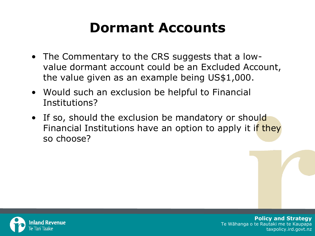#### **Dormant Accounts**

- The Commentary to the CRS suggests that a lowvalue dormant account could be an Excluded Account, the value given as an example being US\$1,000.
- Would such an exclusion be helpful to Financial Institutions?
- If so, should the exclusion be mandatory or should Financial Institutions have an option to apply it if they so choose?

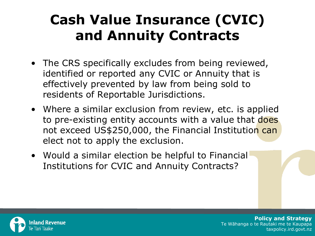#### **Cash Value Insurance (CVIC) and Annuity Contracts**

- The CRS specifically excludes from being reviewed, identified or reported any CVIC or Annuity that is effectively prevented by law from being sold to residents of Reportable Jurisdictions.
- Where a similar exclusion from review, etc. is applied to pre-existing entity accounts with a value that does not exceed US\$250,000, the Financial Institution can elect not to apply the exclusion.
- Would a similar election be helpful to Financial Institutions for CVIC and Annuity Contracts?

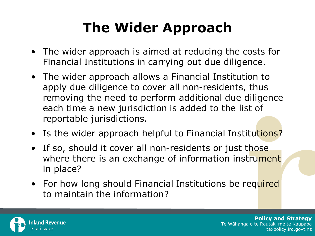#### **The Wider Approach**

- The wider approach is aimed at reducing the costs for Financial Institutions in carrying out due diligence.
- The wider approach allows a Financial Institution to apply due diligence to cover all non-residents, thus removing the need to perform additional due diligence each time a new jurisdiction is added to the list of reportable jurisdictions.
- Is the wider approach helpful to Financial Institutions?
- If so, should it cover all non-residents or just those where there is an exchange of information instrument in place?
- For how long should Financial Institutions be required to maintain the information?

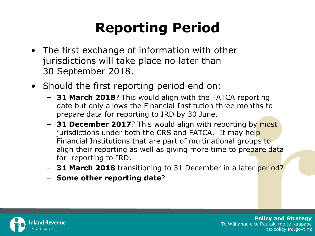#### **Reporting Period**

- The first exchange of information with other jurisdictions will take place no later than 30 September 2018.
- Should the first reporting period end on:
	- **31 March 2018**? This would align with the FATCA reporting date but only allows the Financial Institution three months to prepare data for reporting to IRD by 30 June.
	- **31 December 2017**? This would align with reporting by most jurisdictions under both the CRS and FATCA. It may help Financial Institutions that are part of multinational groups to align their reporting as well as giving more time to prepare data for reporting to IRD.
	- **31 March 2018** transitioning to 31 December in a later period?
	- **Some other reporting date**?

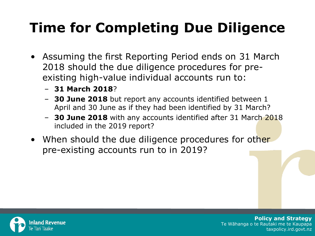#### **Time for Completing Due Diligence**

- Assuming the first Reporting Period ends on 31 March 2018 should the due diligence procedures for preexisting high-value individual accounts run to:
	- **31 March 2018**?
	- **30 June 2018** but report any accounts identified between 1 April and 30 June as if they had been identified by 31 March?
	- **30 June 2018** with any accounts identified after 31 March 2018 included in the 2019 report?
- When should the due diligence procedures for other pre-existing accounts run to in 2019?

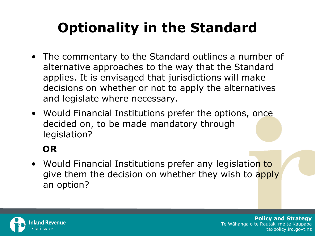# **Optionality in the Standard**

- The commentary to the Standard outlines a number of alternative approaches to the way that the Standard applies. It is envisaged that jurisdictions will make decisions on whether or not to apply the alternatives and legislate where necessary.
- Would Financial Institutions prefer the options, once decided on, to be made mandatory through legislation?

#### **OR**

• Would Financial Institutions prefer any legislation to give them the decision on whether they wish to apply an option?

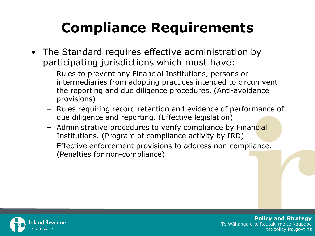#### **Compliance Requirements**

- The Standard requires effective administration by participating jurisdictions which must have:
	- Rules to prevent any Financial Institutions, persons or intermediaries from adopting practices intended to circumvent the reporting and due diligence procedures. (Anti-avoidance provisions)
	- Rules requiring record retention and evidence of performance of due diligence and reporting. (Effective legislation)
	- Administrative procedures to verify compliance by Financial Institutions. (Program of compliance activity by IRD)
	- Effective enforcement provisions to address non-compliance. (Penalties for non-compliance)

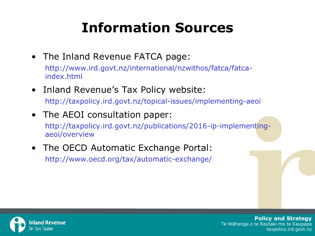#### **Information Sources**

- The Inland Revenue FATCA page: http://www.ird.govt.nz/international/nzwithos/fatca/fatcaindex.html
- Inland Revenue's Tax Policy website: http://taxpolicy.ird.govt.nz/topical-issues/implementing-aeoi
- The AEOI consultation paper:

http://taxpolicy.ird.govt.nz/publications/2016-ip-implementingaeoi/overview

• The OECD Automatic Exchange Portal: http://www.oecd.org/tax/automatic-exchange/